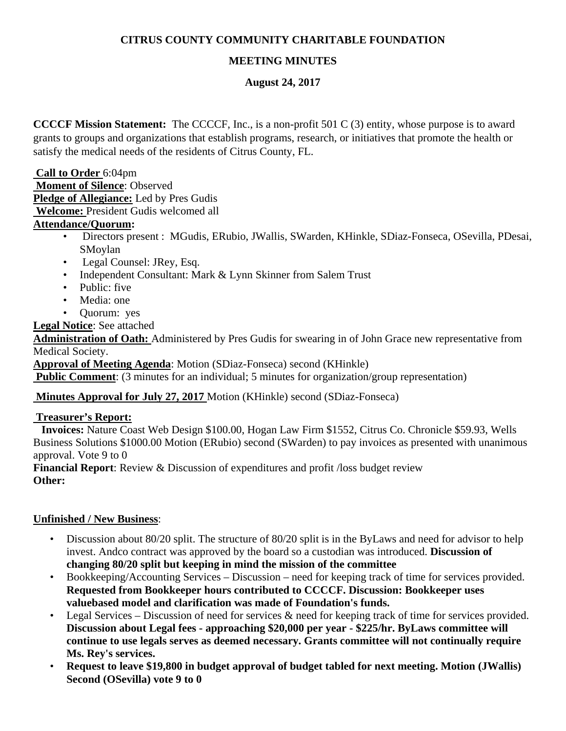### **CITRUS COUNTY COMMUNITY CHARITABLE FOUNDATION**

# **MEETING MINUTES**

#### **August 24, 2017**

**CCCCF Mission Statement:** The CCCCF, Inc., is a non-profit 501 C (3) entity, whose purpose is to award grants to groups and organizations that establish programs, research, or initiatives that promote the health or satisfy the medical needs of the residents of Citrus County, FL.

#### **Call to Order** 6:04pm

**Moment of Silence**: Observed **Pledge of Allegiance:** Led by Pres Gudis **Welcome:** President Gudis welcomed all

# **Attendance/Quorum:**

- Directors present : MGudis, ERubio, JWallis, SWarden, KHinkle, SDiaz-Fonseca, OSevilla, PDesai, SMoylan
- Legal Counsel: JRey, Esq.
- Independent Consultant: Mark & Lynn Skinner from Salem Trust
- Public: five
- Media: one
- Quorum: yes

**Legal Notice**: See attached

**Administration of Oath:** Administered by Pres Gudis for swearing in of John Grace new representative from Medical Society.

**Approval of Meeting Agenda**: Motion (SDiaz-Fonseca) second (KHinkle)

**Public Comment**: (3 minutes for an individual; 5 minutes for organization/group representation)

#### **Minutes Approval for July 27, 2017** Motion (KHinkle) second (SDiaz-Fonseca)

#### **Treasurer's Report:**

 **Invoices:** Nature Coast Web Design \$100.00, Hogan Law Firm \$1552, Citrus Co. Chronicle \$59.93, Wells Business Solutions \$1000.00 Motion (ERubio) second (SWarden) to pay invoices as presented with unanimous approval. Vote 9 to 0

**Financial Report**: Review & Discussion of expenditures and profit /loss budget review **Other:** 

#### **Unfinished / New Business**:

- Discussion about 80/20 split. The structure of 80/20 split is in the ByLaws and need for advisor to help invest. Andco contract was approved by the board so a custodian was introduced. **Discussion of changing 80/20 split but keeping in mind the mission of the committee**
- Bookkeeping/Accounting Services Discussion need for keeping track of time for services provided. **Requested from Bookkeeper hours contributed to CCCCF. Discussion: Bookkeeper uses valuebased model and clarification was made of Foundation's funds.**
- Legal Services Discussion of need for services & need for keeping track of time for services provided. **Discussion about Legal fees - approaching \$20,000 per year - \$225/hr. ByLaws committee will continue to use legals serves as deemed necessary. Grants committee will not continually require Ms. Rey's services.**
- **Request to leave \$19,800 in budget approval of budget tabled for next meeting. Motion (JWallis) Second (OSevilla) vote 9 to 0**